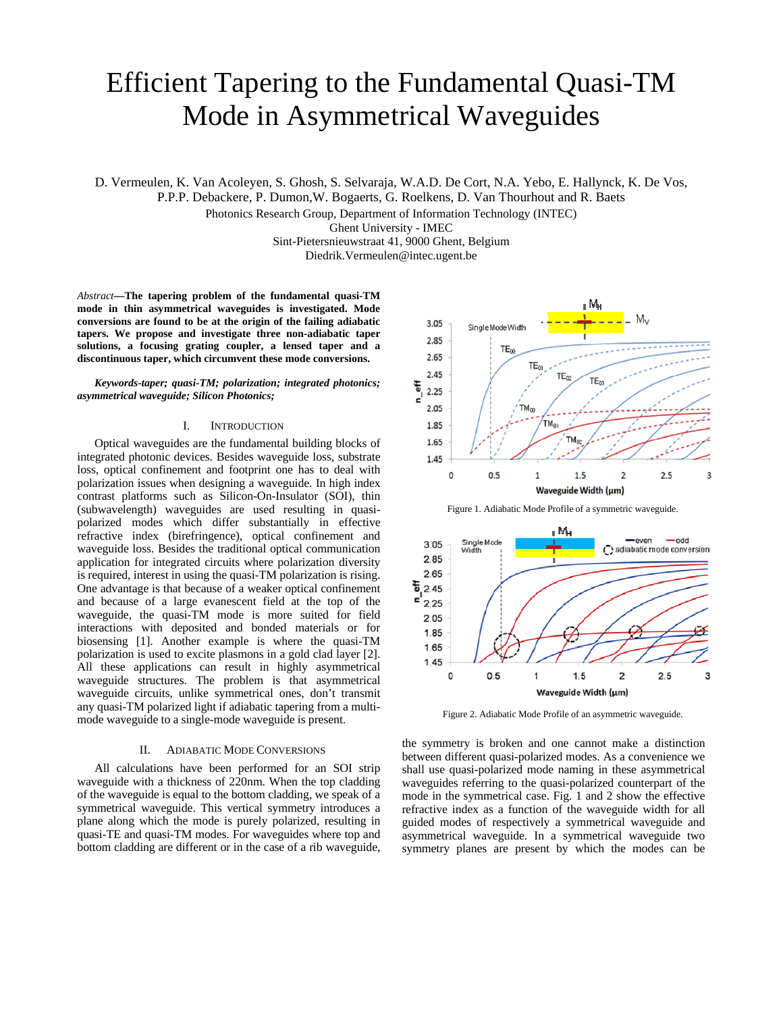# Efficient Tapering to the Fundamental Quasi-TM Mode in Asymmetrical Waveguides

D. Vermeulen, K. Van Acoleyen, S. Ghosh, S. Selvaraja, W.A.D. De Cort, N.A. Yebo, E. Hallynck, K. De Vos,

P.P.P. Debackere, P. Dumon,W. Bogaerts, G. Roelkens, D. Van Thourhout and R. Baets

Photonics Research Group, Department of Information Technology (INTEC)

Ghent University - IMEC

Sint-Pietersnieuwstraat 41, 9000 Ghent, Belgium Diedrik.Vermeulen@intec.ugent.be

*Abstract***—The tapering problem of the fundamental quasi-TM mode in thin asymmetrical waveguides is investigated. Mode conversions are found to be at the origin of the failing adiabatic tapers. We propose and investigate three non-adiabatic taper solutions, a focusing grating coupler, a lensed taper and a discontinuous taper, which circumvent these mode conversions.** 

*Keywords-taper; quasi-TM; polarization; integrated photonics; asymmetrical waveguide; Silicon Photonics;* 

## I. INTRODUCTION

Optical waveguides are the fundamental building blocks of integrated photonic devices. Besides waveguide loss, substrate loss, optical confinement and footprint one has to deal with polarization issues when designing a waveguide. In high index contrast platforms such as Silicon-On-Insulator (SOI), thin (subwavelength) waveguides are used resulting in quasipolarized modes which differ substantially in effective refractive index (birefringence), optical confinement and waveguide loss. Besides the traditional optical communication application for integrated circuits where polarization diversity is required, interest in using the quasi-TM polarization is rising. One advantage is that because of a weaker optical confinement and because of a large evanescent field at the top of the waveguide, the quasi-TM mode is more suited for field interactions with deposited and bonded materials or for biosensing [1]. Another example is where the quasi-TM polarization is used to excite plasmons in a gold clad layer [2]. All these applications can result in highly asymmetrical waveguide structures. The problem is that asymmetrical waveguide circuits, unlike symmetrical ones, don't transmit any quasi-TM polarized light if adiabatic tapering from a multimode waveguide to a single-mode waveguide is present.

#### II. ADIABATIC MODE CONVERSIONS

All calculations have been performed for an SOI strip waveguide with a thickness of 220nm. When the top cladding of the waveguide is equal to the bottom cladding, we speak of a symmetrical waveguide. This vertical symmetry introduces a plane along which the mode is purely polarized, resulting in quasi-TE and quasi-TM modes. For waveguides where top and bottom cladding are different or in the case of a rib waveguide,



Figure 1. Adiabatic Mode Profile of a symmetric waveguide.



Figure 2. Adiabatic Mode Profile of an asymmetric waveguide.

the symmetry is broken and one cannot make a distinction between different quasi-polarized modes. As a convenience we shall use quasi-polarized mode naming in these asymmetrical waveguides referring to the quasi-polarized counterpart of the mode in the symmetrical case. Fig. 1 and 2 show the effective refractive index as a function of the waveguide width for all guided modes of respectively a symmetrical waveguide and asymmetrical waveguide. In a symmetrical waveguide two symmetry planes are present by which the modes can be